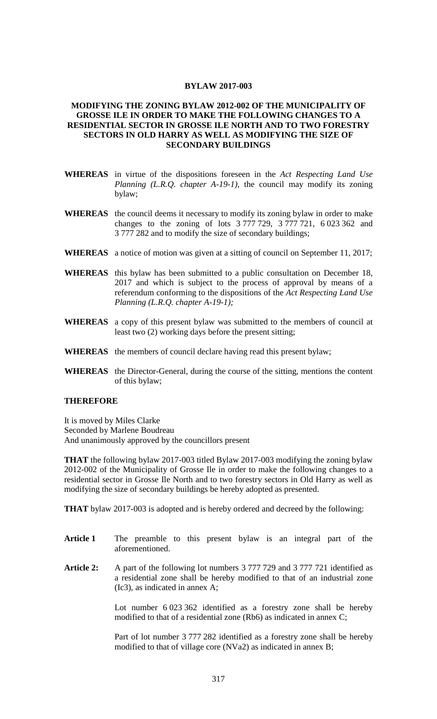## **BYLAW 2017-003**

## **MODIFYING THE ZONING BYLAW 2012-002 OF THE MUNICIPALITY OF GROSSE ILE IN ORDER TO MAKE THE FOLLOWING CHANGES TO A RESIDENTIAL SECTOR IN GROSSE ILE NORTH AND TO TWO FORESTRY SECTORS IN OLD HARRY AS WELL AS MODIFYING THE SIZE OF SECONDARY BUILDINGS**

- **WHEREAS** in virtue of the dispositions foreseen in the *Act Respecting Land Use Planning (L.R.Q. chapter A-19-1)*, the council may modify its zoning bylaw;
- **WHEREAS** the council deems it necessary to modify its zoning bylaw in order to make changes to the zoning of lots 3 777 729, 3 777 721, 6 023 362 and 3 777 282 and to modify the size of secondary buildings;
- **WHEREAS** a notice of motion was given at a sitting of council on September 11, 2017;
- **WHEREAS** this bylaw has been submitted to a public consultation on December 18, 2017 and which is subject to the process of approval by means of a referendum conforming to the dispositions of the *Act Respecting Land Use Planning (L.R.Q. chapter A-19-1);*
- **WHEREAS** a copy of this present bylaw was submitted to the members of council at least two (2) working days before the present sitting;
- **WHEREAS** the members of council declare having read this present bylaw;
- **WHEREAS** the Director-General, during the course of the sitting, mentions the content of this bylaw;

## **THEREFORE**

It is moved by Miles Clarke Seconded by Marlene Boudreau And unanimously approved by the councillors present

**THAT** the following bylaw 2017-003 titled Bylaw 2017-003 modifying the zoning bylaw 2012-002 of the Municipality of Grosse Ile in order to make the following changes to a residential sector in Grosse Ile North and to two forestry sectors in Old Harry as well as modifying the size of secondary buildings be hereby adopted as presented.

**THAT** bylaw 2017-003 is adopted and is hereby ordered and decreed by the following:

- **Article 1** The preamble to this present bylaw is an integral part of the aforementioned.
- **Article 2:** A part of the following lot numbers 3 777 729 and 3 777 721 identified as a residential zone shall be hereby modified to that of an industrial zone (Ic3), as indicated in annex A;

Lot number 6 023 362 identified as a forestry zone shall be hereby modified to that of a residential zone (Rb6) as indicated in annex C;

Part of lot number 3 777 282 identified as a forestry zone shall be hereby modified to that of village core (NVa2) as indicated in annex B;